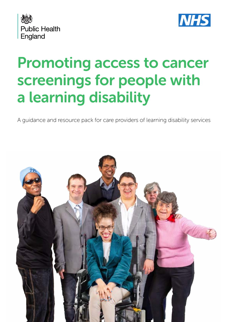



# Promoting access to cancer screenings for people with a learning disability

A guidance and resource pack for care providers of learning disability services

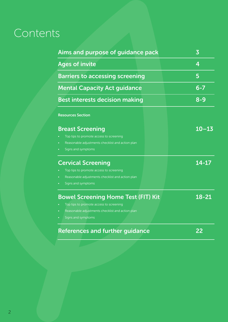# Contents

| <b>Ages of invite</b><br>4<br><b>Barriers to accessing screening</b><br>5<br><b>Mental Capacity Act guidance</b><br><b>Best interests decision making</b><br><b>Resources Section</b><br>$10 - 13$<br><b>Breast Screening</b> | 3<br>$6 - 7$<br>$8 - 9$ |
|-------------------------------------------------------------------------------------------------------------------------------------------------------------------------------------------------------------------------------|-------------------------|
|                                                                                                                                                                                                                               |                         |
|                                                                                                                                                                                                                               |                         |
|                                                                                                                                                                                                                               |                         |
|                                                                                                                                                                                                                               |                         |
|                                                                                                                                                                                                                               |                         |
|                                                                                                                                                                                                                               |                         |
| Top tips to promote access to screening                                                                                                                                                                                       |                         |
| Reasonable adjustments checklist and action plan                                                                                                                                                                              |                         |
| Signs and symptoms                                                                                                                                                                                                            |                         |
| 14-17<br><b>Cervical Screening</b>                                                                                                                                                                                            |                         |
| Top tips to promote access to screening                                                                                                                                                                                       |                         |
| Reasonable adjustments checklist and action plan                                                                                                                                                                              |                         |
| Signs and symptoms                                                                                                                                                                                                            |                         |
| 18-21<br><b>Bowel Screening Home Test (FIT) Kit</b>                                                                                                                                                                           |                         |
| Top tips to promote access to screening                                                                                                                                                                                       |                         |
| Reasonable adjustments checklist and action plan                                                                                                                                                                              |                         |
| Signs and symptoms                                                                                                                                                                                                            |                         |
| <b>References and further guidance</b><br>22                                                                                                                                                                                  |                         |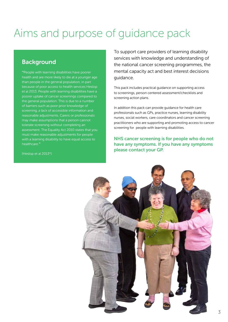# Aims and purpose of guidance pack

## **Background**

**"**People with learning disabilities have poorer health and are more likely to die at a younger age than people in the general population, in part because of poor access to health services Heslop et al 2013. People with learning disabilities have a poorer uptake of cancer screenings compared to the general population. This is due to a number of barriers such as poor prior knowledge of screening, a lack of accessible information and reasonable adjustments. Carers or professionals may make assumptions that a person cannot tolerate screening without completing an assessment. The Equality Act 2010 states that you must make reasonable adjustments for people with a learning disability to have equal access to healthcare.**''**

To support care providers of learning disability services with knowledge and understanding of the national cancer screening programmes, the mental capacity act and best interest decisions guidance.

This pack includes practical guidance on supporting access to screenings, person centered assessment/checklists and screening action plans.

In addition this pack can provide guidance for health care professionals such as GPs, practice nurses, learning disability nurses, social workers, care coordinators and cancer screening practitioners who are supporting and promoting access to cancer screening for people with learning disabilities.

#### NHS cancer screening is for people who do not have any symptoms. If you have any symptoms please contact your GP.



(Heslop et al 2013\*)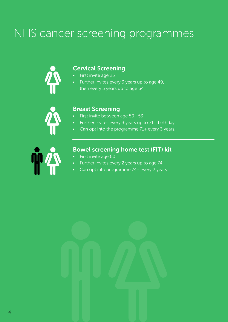# NHS cancer screening programmes



## Cervical Screening

- **First invite age 25**
- Further invites every 3 years up to age 49, then every 5 years up to age 64.



#### Breast Screening

- First invite between age 50—53
- Further invites every 3 years up to 71st birthday
- Can opt into the programme 71+ every 3 years.



# Bowel screening home test (FIT) kit

- First invite age 60
- Further invites every 2 years up to age 74
- Can opt into programme 74+ every 2 years.

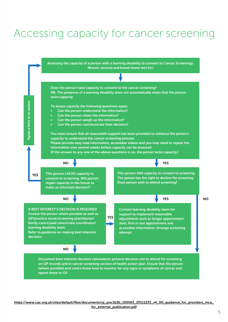# Accessing capacity for cancer screening

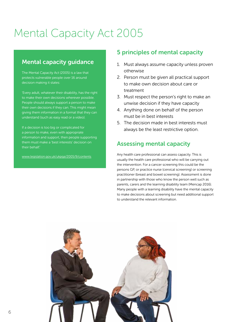# Mental Capacity Act 2005

### Mental capacity guidance

The Mental Capacity Act (2005) is a law that protects vulnerable people over 16 around decision making it states:

'Every adult, whatever their disability, has the right to make their own decisions wherever possible. People should always support a person to make their own decisions if they can. This might mean giving them information in a format that they can understand (such as easy read or a video).

If a decision is too big or complicated for a person to make, even with appropriate information and support, then people supporting them must make a 'best interests' decision on their behalf.'

www.legislation.gov.uk/ukpga/2005/9/contents

### 5 principles of mental capacity

- 1. Must always assume capacity unless proven otherwise
- 2. Person must be given all practical support to make own decision about care or treatment
- 3. Must respect the person's right to make an unwise decision if they have capacity
- 4. Anything done on behalf of the person must be in best interests
- 5. The decision made in best interests must always be the least restrictive option.

### Assessing mental capacity

Any health care professional can assess capacity. This is usually the health care professional who will be carrying out the intervention. For a cancer screening this could be the persons GP, or practice nurse (cervical screening) or screening practitioner (breast and bowel screening). Assessment is done in partnership with those who know the person well such as parents, carers and the learning disability team (Mencap 2016). Many people with a learning disability have the mental capacity to make decisions about screening but need additional support to understand the relevant information.

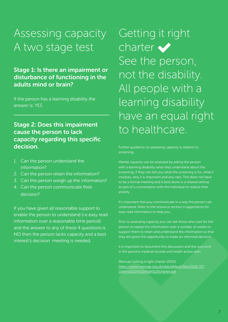# Assessing capacity A two stage test

## Stage 1: Is there an impairment or disturbance of functioning in the adults mind or brain?

If the person has a learning disability the answer is: YES

## Stage 2: Does this impairment cause the person to lack capacity regarding this specific decision.

- 1. Can the person understand the information?
- 2. Can the person retain the information?
- 3. Can the person weigh up the information?
- 4. Can the person communicate their decision?

If you have given all reasonable support to enable the person to understand (i.e easy read information over a reasonable time period) and the answer to any of these 4 questions is NO then the person lacks capacity and a best interest's decision meeting is needed.

# Getting it right charter  $\blacktriangleright$ See the person, not the disability. All people with a learning disability have an equal right to healthcare.

Further guidance on assessing capacity in relation to screening:

Mental capacity can be assessed by asking the person with a learning disability what they understand about the screening; if they can tell you what the screening is for, what it involves, why it is important and any risks. This does not have to be a formal meeting and is best done in a relaxed setting as part of a conversation with the individual to reduce their anxiety.

It's important that you communicate in a way the person can understand. Refer to the resource section in appendices for easy read information to help you.

Prior to assessing capacity you can ask those who care for the person to repeat this information over a number of weeks to support them to retain and understand the information so that they are given the opportunity to make an informed decision.

It is important to document this discussion and the outcome in the persons medical records and health action plan.

Mencap:Getting it right charter (2010) https://www.mencap.org.uk/sites/default/files/2016-07/ Getting%20it%20Right%20charter.pdf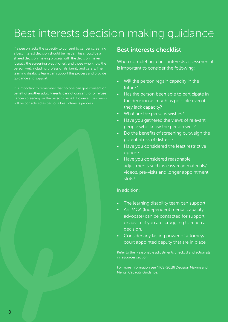# Best interests decision making guidance

If a person lacks the capacity to consent to cancer screening a best interest decision should be made. This should be a shared decision making process with the decision maker (usually the screening practitioner), and those who know the person well including professionals, family and carers. The learning disability team can support this process and provide guidance and support.

It is important to remember that no one can give consent on behalf of another adult. Parents cannot consent for or refuse cancer screening on the persons behalf. However their views will be considered as part of a best interests process.

#### Best interests checklist

When completing a best interests assessment it is important to consider the following:

- Will the person regain capacity in the future?
- Has the person been able to participate in the decision as much as possible even if they lack capacity?
- What are the persons wishes?
- Have you gathered the views of relevant people who know the person well?
- Do the benefits of screening outweigh the potential risk of distress?
- Have you considered the least restrictive option?
- Have you considered reasonable adjustments such as easy read materials/ videos, pre-visits and longer appointment slots?

#### In addition:

- The learning disability team can support
- An IMCA (Independent mental capacity advocate) can be contacted for support or advice if you are struggling to reach a decision.
- Consider any lasting power of attorney/ court appointed deputy that are in place

Refer to the 'Reasonable adjustments checklist and action plan' in resources section.

For more information see NICE (2018) Decision Making and Mental Capacity Guidance.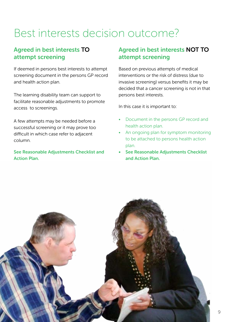# Best interests decision outcome?

## Agreed in best interests TO attempt screening

If deemed in persons best interests to attempt screening document in the persons GP record and health action plan.

The learning disability team can support to facilitate reasonable adjustments to promote access to screenings.

A few attempts may be needed before a successful screening or it may prove too difficult in which case refer to adjacent column.

See Reasonable Adjustments Checklist and Action Plan.

## Agreed in best interests NOT TO attempt screening

Based on previous attempts of medical interventions or the risk of distress (due to invasive screening) versus benefits it may be decided that a cancer screening is not in that persons best interests.

In this case it is important to:

- Document in the persons GP record and health action plan.
- An ongoing plan for symptom monitoring to be attached to persons health action plan.
- See Reasonable Adjustments Checklist and Action Plan.

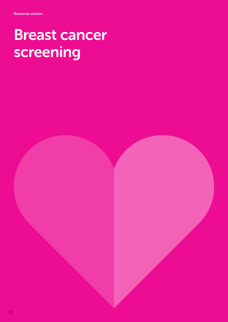# Breast cancer screening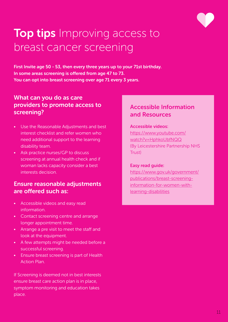

# **Top tips** Improving access to breast cancer screening

First Invite age 50 - 53, then every three years up to your 71st birthday. In some areas screening is offered from age 47 to 73. You can opt into breast screening over age 71 every 3 years.

### What can you do as care providers to promote access to screening?

- Use the Reasonable Adjustments and best interest checklist and refer women who need additional support to the learning disability team.
- Ask practice nurses/GP to discuss screening at annual health check and if woman lacks capacity consider a best interests decision.

### Ensure reasonable adjustments are offered such as:

- Accessible videos and easy read information.
- Contact screening centre and arrange longer appointment time.
- Arrange a pre visit to meet the staff and look at the equipment.
- A few attempts might be needed before a successful screening.
- Ensure breast screening is part of Health Action Plan.

If Screening is deemed not in best interests ensure breast care action plan is in place, symptom monitoring and education takes place.

## Accessible Information and Resources

#### Accessible videos:

https://www.youtube.com/ watch?v=HphkoUbfNQQ (By Leicestershire Partnership NHS Trust)

#### Easy read guide:

https://www.gov.uk/government/ publications/breast-screeninginformation-for-women-withlearning-disabilities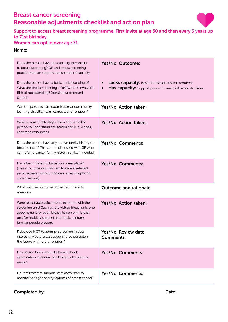# Breast cancer screening Reasonable adjustments checklist and action plan



Support to access breast screening programme. First invite at age 50 and then every 3 years up to 71st birthday.

#### Women can opt in over age 71.

#### Name:

| Does the person have the capacity to consent<br>to breast screening? GP and breast screening<br>practitioner can support assessment of capacity.<br>Does the person have a basic understanding of:<br>What the breast screening is for? What is involved?<br>Risk of not attending? (possible undetected<br>cancer) | Yes/No Outcome:<br><b>Lacks capacity:</b> Best interests discussion required.<br>Has capacity: Support person to make informed decision.<br>$\bullet$ |
|---------------------------------------------------------------------------------------------------------------------------------------------------------------------------------------------------------------------------------------------------------------------------------------------------------------------|-------------------------------------------------------------------------------------------------------------------------------------------------------|
| Was the person's care coordinator or community<br>learning disability team contacted for support?                                                                                                                                                                                                                   | Yes/No Action taken:                                                                                                                                  |
| Were all reasonable steps taken to enable the<br>person to understand the screening? (E.g. videos,<br>easy read resources.)                                                                                                                                                                                         | Yes/No Action taken:                                                                                                                                  |
| Does the person have any known family history of<br>breast cancer? This can be discussed with GP who<br>can refer to cancer family history service if needed.                                                                                                                                                       | Yes/No Comments:                                                                                                                                      |
| Has a best interest's discussion taken place?<br>(This should be with GP, family, carers, relevant<br>professionals involved and can be via telephone<br>conversations).                                                                                                                                            | <b>Yes/No Comments:</b>                                                                                                                               |
| What was the outcome of the best interests<br>meeting?                                                                                                                                                                                                                                                              | <b>Outcome and rationale:</b>                                                                                                                         |
| Were reasonable adjustments explored with the<br>screening unit? Such as: pre visit to breast unit, one<br>appointment for each breast, liaison with breast<br>unit for mobility support and music, pictures,<br>familiar people present.                                                                           | Yes/No Action taken:                                                                                                                                  |
| If decided NOT to attempt screening in best<br>interests. Would breast screening be possible in<br>the future with further support?                                                                                                                                                                                 | Yes/No Review date:<br><b>Comments:</b>                                                                                                               |
| Has person been offered a breast check<br>examination at annual health check by practice<br>nurse?                                                                                                                                                                                                                  | Yes/No Comments:                                                                                                                                      |
| Do family/carers/support staff know how to<br>monitor for signs and symptoms of breast cancer?                                                                                                                                                                                                                      | <b>Yes/No Comments:</b>                                                                                                                               |

#### Completed by: Notice and South American completed by: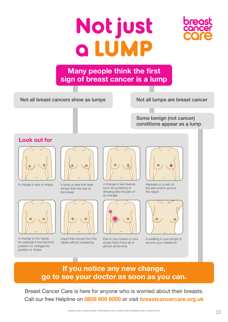# **Not just a** L



# **Many people think the first sign of breast cancer is a lump**

Not all breast cancers show as lumps

Not all lumps are breast cancer

Some benign (not cancer) conditions appear as a lump

## **Look out for**



A change in size or shape A lump or area that feels



A change to the nipple, for example it has become pulled in or changed its position or shape



thicker than the rest of the breast



Liquid that comes from the nipple without squeezing



A change in skin texture such as puckering or dimpling (like the skin of an orange)



Pain in your breast or your armpit that's there all or almost all the time



Redness or a rash on the skin and/or around the nipple



A swelling in your armpit or around your collarbone

# **If you notice any new change, go to see your doctor as soon as you can.**

Breast Cancer Care is here for anyone who is worried about their breasts. Call our free Helpline on **0808 800 6000** or visit **breastcancercare.org.uk**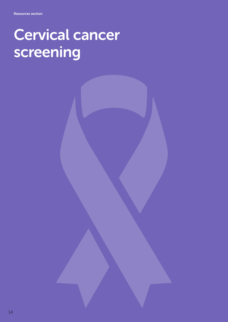# Cervical cancer screening



14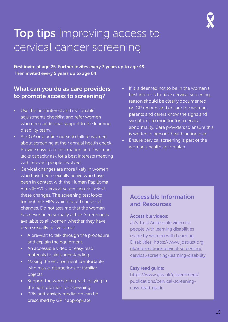# **Top tips** Improving access to cervical cancer screening

First invite at age 25. Further invites every 3 years up to age 49. Then invited every 5 years up to age 64.

## What can you do as care providers to promote access to screening?

- Use the best interest and reasonable adjustments checklist and refer women who need additional support to the learning disability team.
- Ask GP or practice nurse to talk to women about screening at their annual health check. Provide easy read information and if woman lacks capacity ask for a best interests meeting with relevant people involved.
- Cervical changes are more likely in women who have been sexually active who have been in contact with the Human Papilloma Virus (HPV). Cervical screening can detect these changes. The screening test looks for high risk HPV which could cause cell changes. Do not assume that the woman has never been sexually active. Screening is available to all women whether they have been sexually active or not.
	- A pre-visit to talk through the procedure and explain the equipment.
	- An accessible video or easy read materials to aid understanding.
	- Making the environment comfortable with music, distractions or familiar objects.
	- Support the woman to practice lying in the right position for screening.
	- PRN anti-anxiety mediation can be prescribed by GP if appropriate.
- If it is deemed not to be in the woman's best interests to have cervical screening, reason should be clearly documented on GP records and ensure the woman, parents and carers know the signs and symptoms to monitor for a cervical abnormality. Care providers to ensure this is written in persons health action plan.
- Ensure cervical screening is part of the woman's health action plan.

### Accessible Information and Resources

#### Accessible videos:

Jo's Trust Accessible video for people with learning disabilities made by women with Learning Disabilities. https://www.jostrust.org. uk/information/cervical-screening/ cervical-screening-learning-disability

#### Easy read guide:

https://www.gov.uk/government/ publications/cervical-screeningeasy-read-guide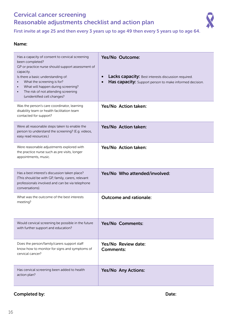# Cervical cancer screening Reasonable adjustments checklist and action plan



First invite at age 25 and then every 3 years up to age 49 then every 5 years up to age 64.

#### Name:

| Has a capacity of consent to cervical screening<br>been completed?<br>GP or practice nurse should support assessment of<br>capacity.<br>Is there a basic understanding of:<br>What the screening is for?<br>What will happen during screening?<br>$\bullet$<br>The risk of not attending screening<br>(unidentified cell changes? | Yes/No Outcome:<br><b>Lacks capacity:</b> Best interests discussion required.<br>Has capacity: Support person to make informed decision. |
|-----------------------------------------------------------------------------------------------------------------------------------------------------------------------------------------------------------------------------------------------------------------------------------------------------------------------------------|------------------------------------------------------------------------------------------------------------------------------------------|
| Was the person's care coordinator, learning<br>disability team or health facilitation team<br>contacted for support?                                                                                                                                                                                                              | Yes/No Action taken:                                                                                                                     |
| Were all reasonable steps taken to enable the<br>person to understand the screening? (E.g. videos,<br>easy read resources.)                                                                                                                                                                                                       | Yes/No Action taken:                                                                                                                     |
| Were reasonable adjustments explored with<br>the practice nurse such as pre visits, longer<br>appointments, music.                                                                                                                                                                                                                | Yes/No Action taken:                                                                                                                     |
| Has a best interest's discussion taken place?<br>(This should be with GP, family, carers, relevant<br>professionals involved and can be via telephone<br>conversations).                                                                                                                                                          | Yes/No Who attended/involved:                                                                                                            |
| What was the outcome of the best interests<br>meeting?                                                                                                                                                                                                                                                                            | <b>Outcome and rationale:</b>                                                                                                            |
| Would cervical screening be possible in the future<br>with further support and education?                                                                                                                                                                                                                                         | <b>Yes/No Comments:</b>                                                                                                                  |
| Does the person/family/carers support staff<br>know how to monitor for signs and symptoms of<br>cervical cancer?                                                                                                                                                                                                                  | Yes/No Review date:<br><b>Comments:</b>                                                                                                  |
| Has cervical screening been added to health<br>action plan?                                                                                                                                                                                                                                                                       | <b>Yes/No Any Actions:</b>                                                                                                               |

#### Completed by: Note: 2008 and 2008 and 2008 and 2008 and 2008 and 2008 and 2008 and 2008 and 2008 and 2008 and 2008 and 2008 and 2008 and 2008 and 2008 and 2008 and 2008 and 2008 and 2008 and 2008 and 2008 and 2008 and 2008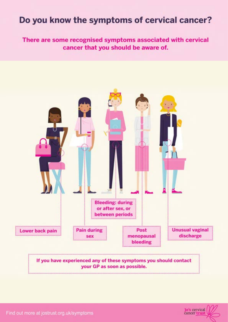# Do you know the symptoms of cervical cancer?

There are some recognised symptoms associated with cervical cancer that you should be aware of.





Find out more at jostrust.org.uk/symptoms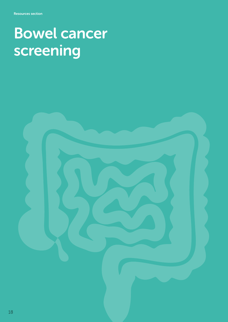# Bowel cancer screening

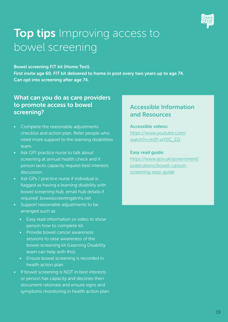

# **Top tips** Improving access to bowel screening

Bowel screening FIT kit (Home Test). First invite age 60. FIT kit delivered to home in post every two years up to age 74. Can opt into screening after age 74.

## What can you do as care providers to promote access to bowel screening?

- Complete the reasonable adjustments checklist and action plan. Refer people who need more support to the learning disabilities team.
- Ask GP/ practice nurse to talk about screening at annual health check and if person lacks capacity request best interests discussion.
- Ask GPs / practice nurse if individual is flagged as having a learning disability with bowel screening hub, email hub details if required: bowelscreening@nhs.net
- Support reasonable adjustments to be arranged such as:
	- Easy read information or video to show person how to complete kit.
	- Provide bowel cancer awareness sessions to raise awareness of the bowel screening kit (Learning Disability team can help with this).
	- Ensure bowel screening is recorded in health action plan.
- If bowel screening is NOT in best interests or person has capacity and declines then document rationale and ensure signs and symptoms monitoring in health action plan.

## Accessible Information and Resources

#### Accessible videos:

https://www.youtube.com/ watch?v=m2f-wY0C\_1Q

#### Easy read guide:

https://www.gov.uk/government/ publications/bowel-cancerscreening-easy-guide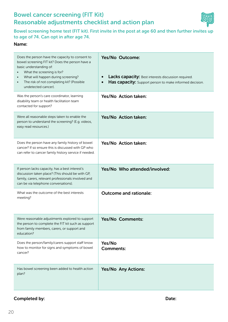## Bowel cancer screening (FIT Kit) Reasonable adjustments checklist and action plan



Bowel screening home test (FIT kit). First invite in the post at age 60 and then further invites up to age of 74. Can opt in after age 74.

#### Name:

| Does the person have the capacity to consent to<br>bowel screening FIT kit? Does the person have a<br>basic understanding of:<br>What the screening is for?<br>What will happen during screening?<br>The risk of not completing kit? (Possible<br>$\bullet$<br>undetected cancer). | Yes/No Outcome:<br><b>Lacks capacity:</b> Best interests discussion required.<br>Has capacity: Support person to make informed decision. |
|------------------------------------------------------------------------------------------------------------------------------------------------------------------------------------------------------------------------------------------------------------------------------------|------------------------------------------------------------------------------------------------------------------------------------------|
| Was the person's care coordinator, learning<br>disability team or health facilitation team<br>contacted for support?                                                                                                                                                               | Yes/No Action taken:                                                                                                                     |
| Were all reasonable steps taken to enable the<br>person to understand the screening? (E.g. videos,<br>easy read resources.)                                                                                                                                                        | Yes/No Action taken:                                                                                                                     |
| Does the person have any family history of bowel<br>cancer? If so ensure this is discussed with GP who<br>can refer to cancer family history service if needed.                                                                                                                    | Yes/No Action taken:                                                                                                                     |
| If person lacks capacity, has a best interest's<br>discussion taken place? (This should be with GP,<br>family, carers, relevant professionals involved and<br>can be via telephone conversations).                                                                                 | Yes/No Who attended/involved:                                                                                                            |
| What was the outcome of the best interests<br>meeting?                                                                                                                                                                                                                             | <b>Outcome and rationale:</b>                                                                                                            |
| Were reasonable adjustments explored to support<br>the person to complete the FIT kit such as support<br>from family members, carers, or support and<br>education?                                                                                                                 | <b>Yes/No Comments:</b>                                                                                                                  |
| Does the person/family/carers support staff know<br>how to monitor for signs and symptoms of bowel<br>cancer?                                                                                                                                                                      | Yes/No<br><b>Comments:</b>                                                                                                               |
| Has bowel screening been added to health action<br>plan?                                                                                                                                                                                                                           | <b>Yes/No Any Actions:</b>                                                                                                               |

#### Completed by: Notice and South American completed by: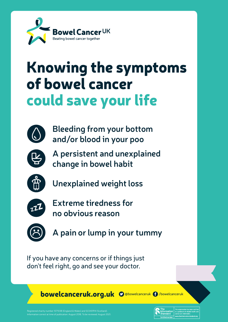

# Knowing the symptoms of bowel cancer could save your life



**Bleeding from your bottom and/or blood in your poo**



**A persistent and unexplained change in bowel habit**



**Unexplained weight loss**



**Extreme tiredness for no obvious reason**



**A pain or lump in your tummy**

If you have any concerns or if things just don't feel right, go and see your doctor.

bowelcanceruk.org.uk O @bowelcanceruk 6 /bowelcanceruk